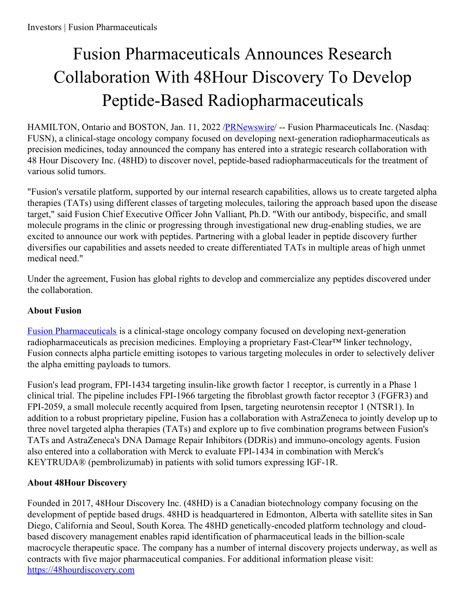## Fusion Pharmaceuticals Announces Research Collaboration With 48Hour Discovery To Develop Peptide-Based Radiopharmaceuticals

HAMILTON, Ontario and BOSTON, Jan. 11, 2022 [/PRNewswire](http://www.prnewswire.com/)/ -- Fusion Pharmaceuticals Inc. (Nasdaq: FUSN), a clinical-stage oncology company focused on developing next-generation radiopharmaceuticals as precision medicines, today announced the company has entered into a strategic research collaboration with 48 Hour Discovery Inc. (48HD) to discover novel, peptide-based radiopharmaceuticals for the treatment of various solid tumors.

"Fusion's versatile platform, supported by our internal research capabilities, allows us to create targeted alpha therapies (TATs) using different classes of targeting molecules, tailoring the approach based upon the disease target," said Fusion Chief Executive Officer John Valliant, Ph.D. "With our antibody, bispecific, and small molecule programs in the clinic or progressing through investigational new drug-enabling studies, we are excited to announce our work with peptides. Partnering with a global leader in peptide discovery further diversifies our capabilities and assets needed to create differentiated TATs in multiple areas of high unmet medical need."

Under the agreement, Fusion has global rights to develop and commercialize any peptides discovered under the collaboration.

## **About Fusion**

Fusion [Pharmaceuticals](https://c212.net/c/link/?t=0&l=en&o=3409231-1&h=1533667457&u=https%3A%2F%2Ffusionpharma.com%2F&a=Fusion+Pharmaceuticals) is a clinical-stage oncology company focused on developing next-generation radiopharmaceuticals as precision medicines. Employing a proprietary Fast-Clear™ linker technology, Fusion connects alpha particle emitting isotopes to various targeting molecules in order to selectively deliver the alpha emitting payloads to tumors.

Fusion's lead program, FPI-1434 targeting insulin-like growth factor 1 receptor, is currently in a Phase 1 clinical trial. The pipeline includes FPI-1966 targeting the fibroblast growth factor receptor 3 (FGFR3) and FPI-2059, a small molecule recently acquired from Ipsen, targeting neurotensin receptor 1 (NTSR1). In addition to a robust proprietary pipeline, Fusion has a collaboration with AstraZeneca to jointly develop up to three novel targeted alpha therapies (TATs) and explore up to five combination programs between Fusion's TATs and AstraZeneca's DNA Damage Repair Inhibitors (DDRis) and immuno-oncology agents. Fusion also entered into a collaboration with Merck to evaluate FPI-1434 in combination with Merck's KEYTRUDA® (pembrolizumab) in patients with solid tumors expressing IGF-1R.

## **About 48Hour Discovery**

Founded in 2017, 48Hour Discovery Inc. (48HD) is a Canadian biotechnology company focusing on the development of peptide based drugs. 48HD is headquartered in Edmonton, Alberta with satellite sites in San Diego, California and Seoul, South Korea. The 48HD genetically-encoded platform technology and cloudbased discovery management enables rapid identification of pharmaceutical leads in the billion-scale macrocycle therapeutic space. The company has a number of internal discovery projects underway, as well as contracts with five major pharmaceutical companies. For additional information please visit: [https://48hourdiscovery.com](https://c212.net/c/link/?t=0&l=en&o=3409231-1&h=337008594&u=https%3A%2F%2F48hourdiscovery.com%2F&a=https%3A%2F%2F48hourdiscovery.com)